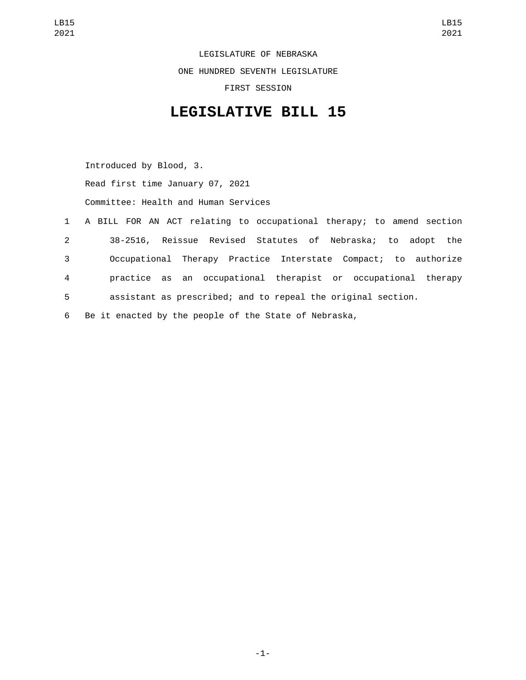LEGISLATURE OF NEBRASKA ONE HUNDRED SEVENTH LEGISLATURE FIRST SESSION

## **LEGISLATIVE BILL 15**

Introduced by Blood, 3. Read first time January 07, 2021 Committee: Health and Human Services

- 1 A BILL FOR AN ACT relating to occupational therapy; to amend section 2 38-2516, Reissue Revised Statutes of Nebraska; to adopt the 3 Occupational Therapy Practice Interstate Compact; to authorize 4 practice as an occupational therapist or occupational therapy 5 assistant as prescribed; and to repeal the original section.
- 6 Be it enacted by the people of the State of Nebraska,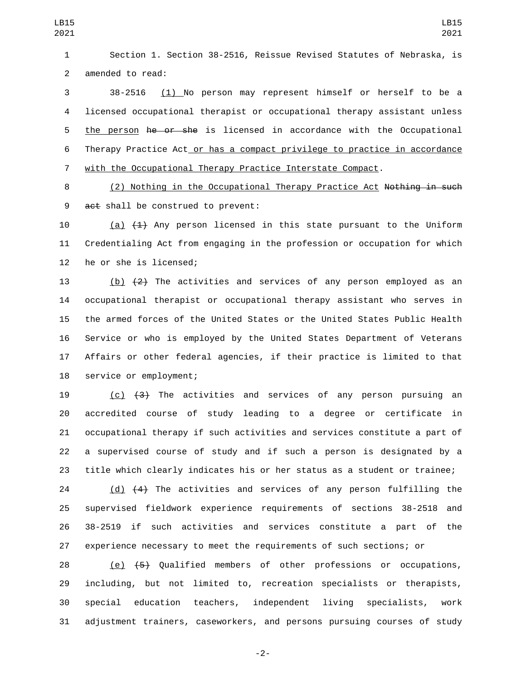Section 1. Section 38-2516, Reissue Revised Statutes of Nebraska, is 2 amended to read:

 38-2516 (1) No person may represent himself or herself to be a licensed occupational therapist or occupational therapy assistant unless 5 the person he or she is licensed in accordance with the Occupational Therapy Practice Act or has a compact privilege to practice in accordance with the Occupational Therapy Practice Interstate Compact.

 (2) Nothing in the Occupational Therapy Practice Act Nothing in such 9 act shall be construed to prevent:

10  $(a)$   $(1)$  Any person licensed in this state pursuant to the Uniform Credentialing Act from engaging in the profession or occupation for which 12 he or she is licensed;

 $(b)$   $(2)$  The activities and services of any person employed as an occupational therapist or occupational therapy assistant who serves in the armed forces of the United States or the United States Public Health Service or who is employed by the United States Department of Veterans Affairs or other federal agencies, if their practice is limited to that 18 service or employment;

 (c) (3) The activities and services of any person pursuing an accredited course of study leading to a degree or certificate in occupational therapy if such activities and services constitute a part of a supervised course of study and if such a person is designated by a title which clearly indicates his or her status as a student or trainee;

 (d) (4) The activities and services of any person fulfilling the supervised fieldwork experience requirements of sections 38-2518 and 38-2519 if such activities and services constitute a part of the experience necessary to meet the requirements of such sections; or

 (e) (5) Qualified members of other professions or occupations, including, but not limited to, recreation specialists or therapists, special education teachers, independent living specialists, work adjustment trainers, caseworkers, and persons pursuing courses of study

-2-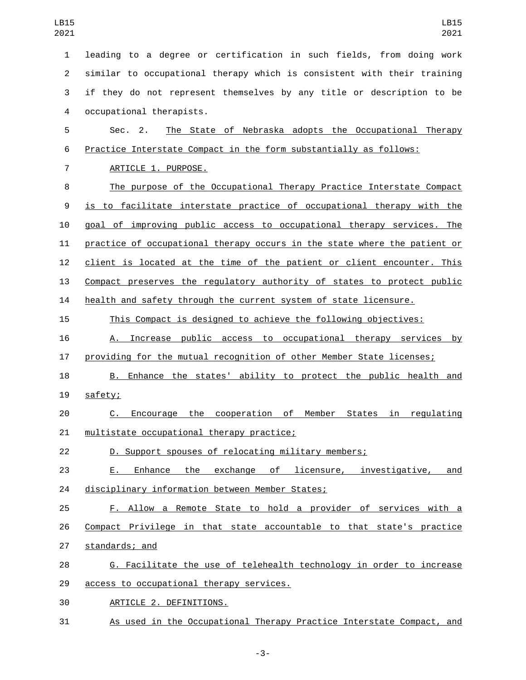leading to a degree or certification in such fields, from doing work similar to occupational therapy which is consistent with their training if they do not represent themselves by any title or description to be 4 occupational therapists. Sec. 2. The State of Nebraska adopts the Occupational Therapy Practice Interstate Compact in the form substantially as follows: 7 ARTICLE 1. PURPOSE. The purpose of the Occupational Therapy Practice Interstate Compact is to facilitate interstate practice of occupational therapy with the goal of improving public access to occupational therapy services. The practice of occupational therapy occurs in the state where the patient or client is located at the time of the patient or client encounter. This Compact preserves the regulatory authority of states to protect public health and safety through the current system of state licensure. This Compact is designed to achieve the following objectives: A. Increase public access to occupational therapy services by providing for the mutual recognition of other Member State licenses; 18 B. Enhance the states' ability to protect the public health and 19 safety; C. Encourage the cooperation of Member States in regulating 21 multistate occupational therapy practice; D. Support spouses of relocating military members; E. Enhance the exchange of licensure, investigative, and 24 disciplinary information between Member States; F. Allow a Remote State to hold a provider of services with a Compact Privilege in that state accountable to that state's practice 27 standards; and 28 G. Facilitate the use of telehealth technology in order to increase 29 access to occupational therapy services. ARTICLE 2. DEFINITIONS.30 As used in the Occupational Therapy Practice Interstate Compact, and

-3-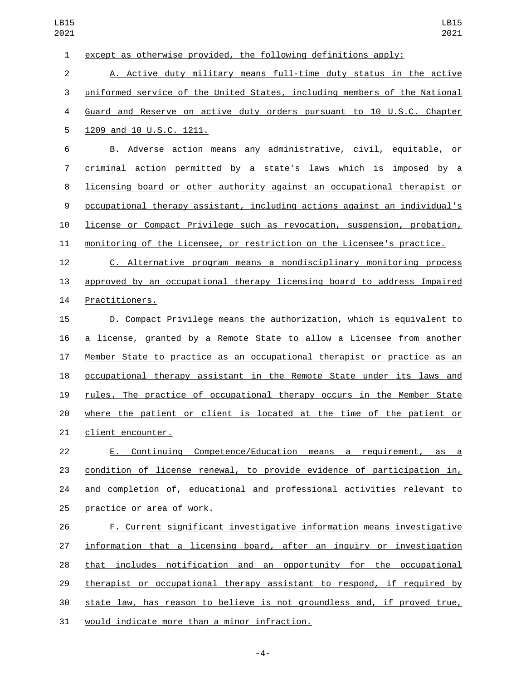| $\mathbf{1}$     | except as otherwise provided, the following definitions apply:            |
|------------------|---------------------------------------------------------------------------|
| $\overline{2}$   | A. Active duty military means full-time duty status in the active         |
| 3                | uniformed service of the United States, including members of the National |
| 4                | Guard and Reserve on active duty orders pursuant to 10 U.S.C. Chapter     |
| 5                | 1209 and 10 U.S.C. 1211.                                                  |
| 6                | B. Adverse action means any administrative, civil, equitable, or          |
| $\overline{7}$   | criminal action permitted by a state's laws which is imposed by a         |
| 8                | licensing board or other authority against an occupational therapist or   |
| $\boldsymbol{9}$ | occupational therapy assistant, including actions against an individual's |
| 10               | license or Compact Privilege such as revocation, suspension, probation,   |
| 11               | monitoring of the Licensee, or restriction on the Licensee's practice.    |
| 12               | C. Alternative program means a nondisciplinary monitoring process         |
| 13               | approved by an occupational therapy licensing board to address Impaired   |
| 14               | Practitioners.                                                            |
| 15               | D. Compact Privilege means the authorization, which is equivalent to      |
| 16               | a license, granted by a Remote State to allow a Licensee from another     |
| 17               | Member State to practice as an occupational therapist or practice as an   |
| 18               | occupational therapy assistant in the Remote State under its laws and     |
| 19               | rules. The practice of occupational therapy occurs in the Member State    |
| 20               | where the patient or client is located at the time of the patient or      |
| 21               | client encounter.                                                         |
| 22               | E. Continuing Competence/Education means a requirement, as a              |
| 23               | condition of license renewal, to provide evidence of participation in,    |
| 24               | and completion of, educational and professional activities relevant to    |
| 25               | practice or area of work.                                                 |
| 26               | F. Current significant investigative information means investigative      |
| 27               | information that a licensing board, after an inquiry or investigation     |
| 28               | that includes notification and an opportunity for the occupational        |
| 29               | therapist or occupational therapy assistant to respond, if required by    |
| 30               | state law, has reason to believe is not groundless and, if proved true,   |
| 31               | would indicate more than a minor infraction.                              |

-4-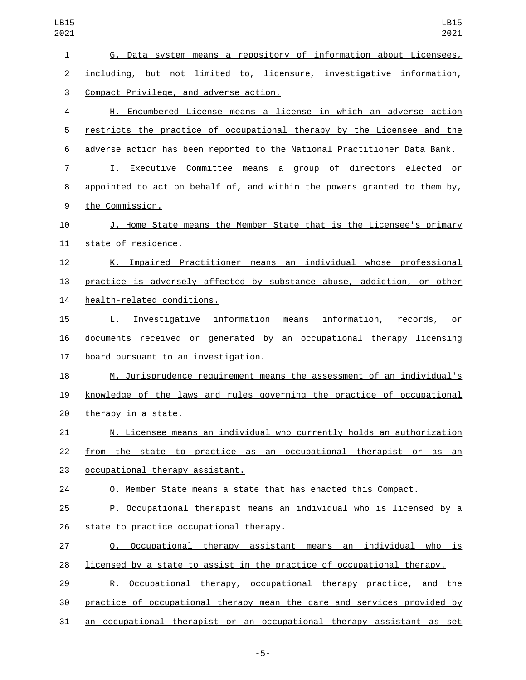| LB15<br>2021   | <b>LB15</b><br>2021                                                      |
|----------------|--------------------------------------------------------------------------|
| $\mathbf{1}$   | G. Data system means a repository of information about Licensees,        |
| $\overline{2}$ | including, but not limited to, licensure, investigative information,     |
| 3              | Compact Privilege, and adverse action.                                   |
| 4              | H. Encumbered License means a license in which an adverse action         |
| 5              | restricts the practice of occupational therapy by the Licensee and the   |
| 6              | adverse action has been reported to the National Practitioner Data Bank. |
| $\overline{7}$ | I. Executive Committee means a group of directors elected or             |
| 8              | appointed to act on behalf of, and within the powers granted to them by, |
| 9              | the Commission.                                                          |
| 10             | J. Home State means the Member State that is the Licensee's primary      |
| 11             | state of residence.                                                      |
| 12             | K. Impaired Practitioner means an individual whose professional          |
| 13             | practice is adversely affected by substance abuse, addiction, or other   |
| 14             | health-related conditions.                                               |
| 15             | L. Investigative information means information, records, or              |
| 16             | documents received or generated by an occupational therapy licensing     |
| 17             | board pursuant to an investigation.                                      |
| 18             | M. Jurisprudence requirement means the assessment of an individual's     |
| 19             | knowledge of the laws and rules governing the practice of occupational   |
| 20             | therapy in a state.                                                      |
| 21             | N. Licensee means an individual who currently holds an authorization     |
| 22             | from the state to practice as an occupational therapist or as an         |
| 23             | occupational therapy assistant.                                          |
| 24             | O. Member State means a state that has enacted this Compact.             |
| 25             | P. Occupational therapist means an individual who is licensed by a       |
| 26             | state to practice occupational therapy.                                  |
| 27             | Q. Occupational therapy assistant means an individual who is             |
| 28             | licensed by a state to assist in the practice of occupational therapy.   |
| 29             | R. Occupational therapy, occupational therapy practice, and the          |
| 30             | practice of occupational therapy mean the care and services provided by  |
| 31             | an occupational therapist or an occupational therapy assistant as set    |

-5-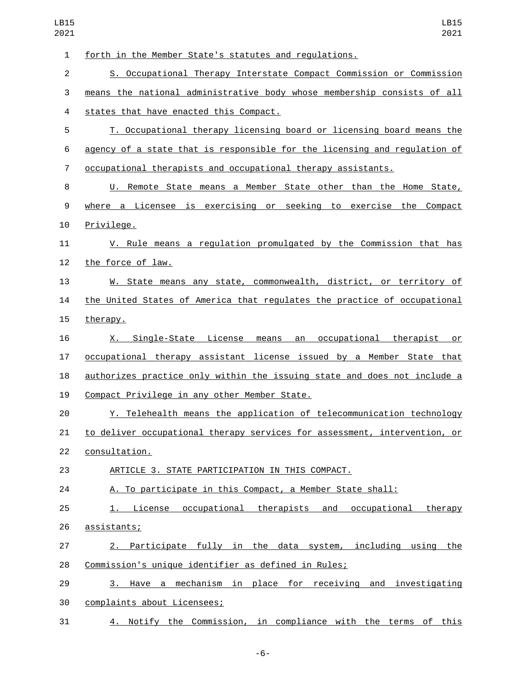forth in the Member State's statutes and regulations. S. Occupational Therapy Interstate Compact Commission or Commission means the national administrative body whose membership consists of all states that have enacted this Compact.4 T. Occupational therapy licensing board or licensing board means the agency of a state that is responsible for the licensing and regulation of occupational therapists and occupational therapy assistants. U. Remote State means a Member State other than the Home State, where a Licensee is exercising or seeking to exercise the Compact 10 Privilege. 11 V. Rule means a regulation promulgated by the Commission that has 12 the force of law. W. State means any state, commonwealth, district, or territory of the United States of America that regulates the practice of occupational 15 therapy. X. Single-State License means an occupational therapist or occupational therapy assistant license issued by a Member State that authorizes practice only within the issuing state and does not include a 19 Compact Privilege in any other Member State. Y. Telehealth means the application of telecommunication technology to deliver occupational therapy services for assessment, intervention, or 22 consultation. ARTICLE 3. STATE PARTICIPATION IN THIS COMPACT. A. To participate in this Compact, a Member State shall: 1. License occupational therapists and occupational therapy 26 <u>assistants;</u> 2. Participate fully in the data system, including using the Commission's unique identifier as defined in Rules; 3. Have a mechanism in place for receiving and investigating 30 complaints about Licensees; 4. Notify the Commission, in compliance with the terms of this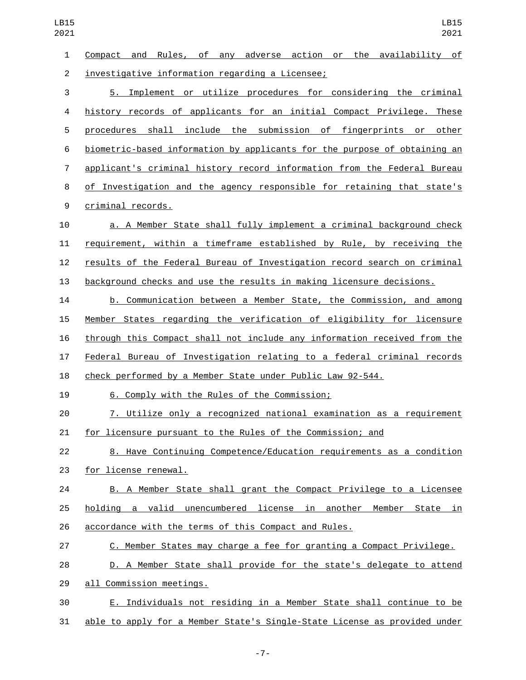Compact and Rules, of any adverse action or the availability of 2 investigative information regarding a Licensee; 5. Implement or utilize procedures for considering the criminal history records of applicants for an initial Compact Privilege. These procedures shall include the submission of fingerprints or other biometric-based information by applicants for the purpose of obtaining an applicant's criminal history record information from the Federal Bureau of Investigation and the agency responsible for retaining that state's 9 criminal records. a. A Member State shall fully implement a criminal background check requirement, within a timeframe established by Rule, by receiving the results of the Federal Bureau of Investigation record search on criminal background checks and use the results in making licensure decisions. LB15 LB15 

 b. Communication between a Member State, the Commission, and among Member States regarding the verification of eligibility for licensure through this Compact shall not include any information received from the Federal Bureau of Investigation relating to a federal criminal records check performed by a Member State under Public Law 92-544.

6. Comply with the Rules of the Commission;19

 7. Utilize only a recognized national examination as a requirement for licensure pursuant to the Rules of the Commission; and

 8. Have Continuing Competence/Education requirements as a condition 23 for license renewal.

 B. A Member State shall grant the Compact Privilege to a Licensee holding a valid unencumbered license in another Member State in accordance with the terms of this Compact and Rules.

C. Member States may charge a fee for granting a Compact Privilege.

 D. A Member State shall provide for the state's delegate to attend 29 all Commission meetings.

 E. Individuals not residing in a Member State shall continue to be able to apply for a Member State's Single-State License as provided under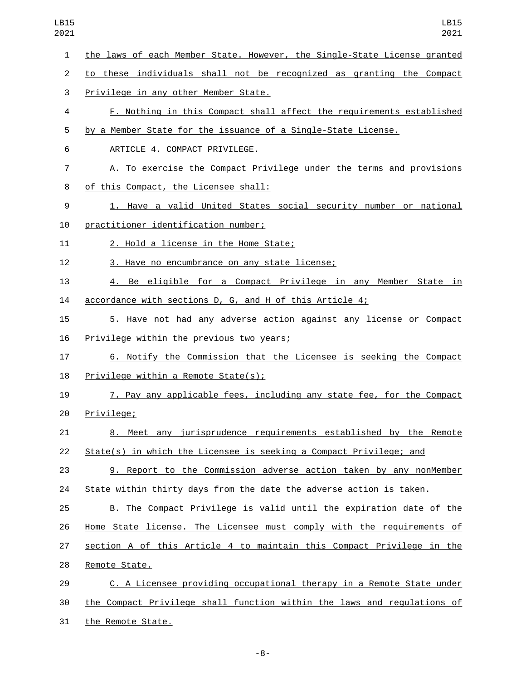the laws of each Member State. However, the Single-State License granted to these individuals shall not be recognized as granting the Compact 3 Privilege in any other Member State. F. Nothing in this Compact shall affect the requirements established by a Member State for the issuance of a Single-State License. 6 ARTICLE 4. COMPACT PRIVILEGE. A. To exercise the Compact Privilege under the terms and provisions 8 of this Compact, the Licensee shall: 1. Have a valid United States social security number or national 10 practitioner identification number; 11 2. Hold a license in the Home State; 12 3. Have no encumbrance on any state license; 4. Be eligible for a Compact Privilege in any Member State in accordance with sections D, G, and H of this Article 4; 5. Have not had any adverse action against any license or Compact 16 Privilege within the previous two years; 6. Notify the Commission that the Licensee is seeking the Compact 18 Privilege within a Remote State(s); 7. Pay any applicable fees, including any state fee, for the Compact 20 Privilege; 8. Meet any jurisprudence requirements established by the Remote State(s) in which the Licensee is seeking a Compact Privilege; and 9. Report to the Commission adverse action taken by any nonMember State within thirty days from the date the adverse action is taken. B. The Compact Privilege is valid until the expiration date of the Home State license. The Licensee must comply with the requirements of section A of this Article 4 to maintain this Compact Privilege in the 28 Remote State. C. A Licensee providing occupational therapy in a Remote State under the Compact Privilege shall function within the laws and regulations of 31 the Remote State.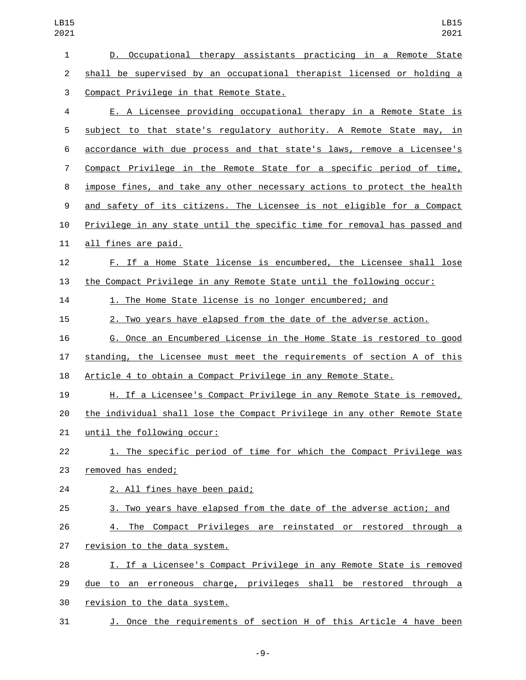| $\mathbf{1}$     | D. Occupational therapy assistants practicing in a Remote State           |
|------------------|---------------------------------------------------------------------------|
| $\overline{2}$   | shall be supervised by an occupational therapist licensed or holding a    |
| 3                | Compact Privilege in that Remote State.                                   |
| 4                | E. A Licensee providing occupational therapy in a Remote State is         |
| 5                | subject to that state's regulatory authority. A Remote State may, in      |
| 6                | accordance with due process and that state's laws, remove a Licensee's    |
| $\overline{7}$   | Compact Privilege in the Remote State for a specific period of time,      |
| 8                | impose fines, and take any other necessary actions to protect the health  |
| $\boldsymbol{9}$ | and safety of its citizens. The Licensee is not eligible for a Compact    |
| 10               | Privilege in any state until the specific time for removal has passed and |
| 11               | all fines are paid.                                                       |
| 12               | F. If a Home State license is encumbered, the Licensee shall lose         |
| 13               | the Compact Privilege in any Remote State until the following occur:      |
| 14               | 1. The Home State license is no longer encumbered; and                    |
| 15               | 2. Two years have elapsed from the date of the adverse action.            |
| 16               | G. Once an Encumbered License in the Home State is restored to good       |
| 17               | standing, the Licensee must meet the requirements of section A of this    |
| 18               | Article 4 to obtain a Compact Privilege in any Remote State.              |
| 19               | H. If a Licensee's Compact Privilege in any Remote State is removed,      |
| 20               | the individual shall lose the Compact Privilege in any other Remote State |
| 21               | until the following occur:                                                |
| 22               | 1. The specific period of time for which the Compact Privilege was        |
| 23               | removed has ended;                                                        |
| 24               | 2. All fines have been paid;                                              |
| 25               | 3. Two years have elapsed from the date of the adverse action; and        |
| 26               | 4. The Compact Privileges are reinstated or restored through a            |
| 27               | revision to the data system.                                              |
| 28               | I. If a Licensee's Compact Privilege in any Remote State is removed       |
| 29               | due to an erroneous charge, privileges shall be restored through a        |
| 30               | revision to the data system.                                              |
| 31               | J. Once the requirements of section H of this Article 4 have been         |

-9-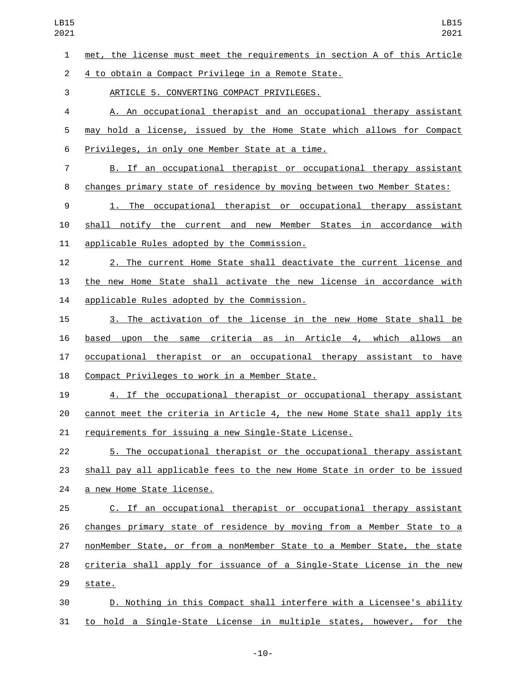met, the license must meet the requirements in section A of this Article

2 4 to obtain a Compact Privilege in a Remote State.

3 ARTICLE 5. CONVERTING COMPACT PRIVILEGES.

 A. An occupational therapist and an occupational therapy assistant may hold a license, issued by the Home State which allows for Compact 6 Privileges, in only one Member State at a time.

 B. If an occupational therapist or occupational therapy assistant changes primary state of residence by moving between two Member States:

 1. The occupational therapist or occupational therapy assistant shall notify the current and new Member States in accordance with 11 applicable Rules adopted by the Commission.

 2. The current Home State shall deactivate the current license and the new Home State shall activate the new license in accordance with 14 applicable Rules adopted by the Commission.

 3. The activation of the license in the new Home State shall be based upon the same criteria as in Article 4, which allows an occupational therapist or an occupational therapy assistant to have 18 Compact Privileges to work in a Member State.

 4. If the occupational therapist or occupational therapy assistant cannot meet the criteria in Article 4, the new Home State shall apply its requirements for issuing a new Single-State License.

 5. The occupational therapist or the occupational therapy assistant 23 shall pay all applicable fees to the new Home State in order to be issued 24 a new Home State license.

 C. If an occupational therapist or occupational therapy assistant changes primary state of residence by moving from a Member State to a nonMember State, or from a nonMember State to a Member State, the state criteria shall apply for issuance of a Single-State License in the new 29 state.

 D. Nothing in this Compact shall interfere with a Licensee's ability to hold a Single-State License in multiple states, however, for the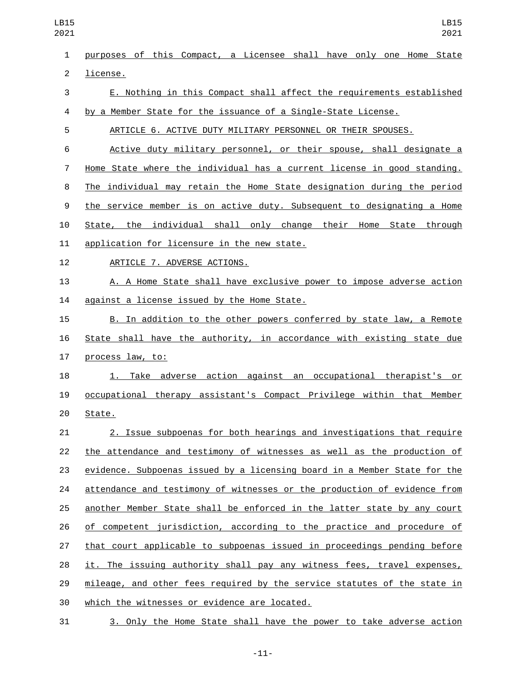| LB15<br>2021   | LB15<br>2021                                                              |
|----------------|---------------------------------------------------------------------------|
| $\mathbf{1}$   | purposes of this Compact, a Licensee shall have only one Home State       |
| $\overline{2}$ | license.                                                                  |
| 3              | E. Nothing in this Compact shall affect the requirements established      |
| 4              | by a Member State for the issuance of a Single-State License.             |
| 5              | ARTICLE 6. ACTIVE DUTY MILITARY PERSONNEL OR THEIR SPOUSES.               |
| 6              | Active duty military personnel, or their spouse, shall designate a        |
| $\overline{7}$ | Home State where the individual has a current license in good standing.   |
| 8              | The individual may retain the Home State designation during the period    |
| 9              | the service member is on active duty. Subsequent to designating a Home    |
| 10             | State, the individual shall only change their Home State through          |
| 11             | application for licensure in the new state.                               |
| 12             | ARTICLE 7. ADVERSE ACTIONS.                                               |
| 13             | A. A Home State shall have exclusive power to impose adverse action       |
| 14             | against a license issued by the Home State.                               |
| 15             | B. In addition to the other powers conferred by state law, a Remote       |
| 16             | State shall have the authority, in accordance with existing state due     |
| 17             | process law, to:                                                          |
| 18             | 1. Take adverse action against an occupational therapist's or             |
| 19             | occupational therapy assistant's Compact Privilege within that Member     |
| 20             | State.                                                                    |
| 21             | 2. Issue subpoenas for both hearings and investigations that require      |
| 22             | the attendance and testimony of witnesses as well as the production of    |
| 23             | evidence. Subpoenas issued by a licensing board in a Member State for the |
| 24             | attendance and testimony of witnesses or the production of evidence from  |
| 25             | another Member State shall be enforced in the latter state by any court   |
| 26             | of competent jurisdiction, according to the practice and procedure of     |
| 27             | that court applicable to subpoenas issued in proceedings pending before   |
| 28             | it. The issuing authority shall pay any witness fees, travel expenses,    |
| 29             | mileage, and other fees required by the service statutes of the state in  |
| 30             | which the witnesses or evidence are located.                              |
| 31             | 3. Only the Home State shall have the power to take adverse action        |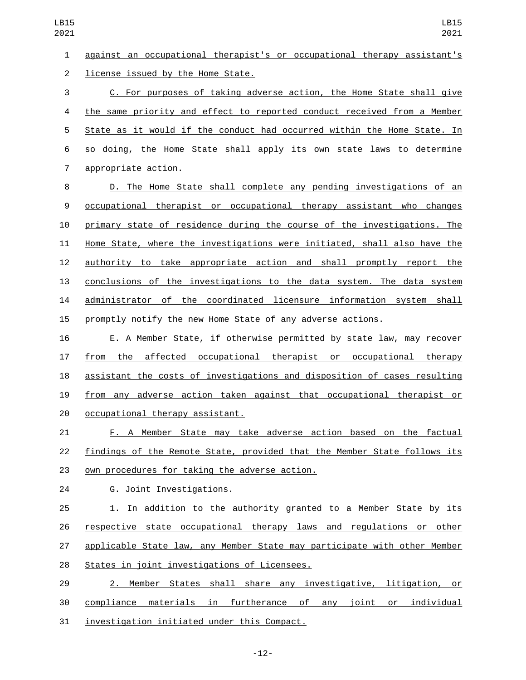against an occupational therapist's or occupational therapy assistant's 2 license issued by the Home State.

 C. For purposes of taking adverse action, the Home State shall give the same priority and effect to reported conduct received from a Member State as it would if the conduct had occurred within the Home State. In so doing, the Home State shall apply its own state laws to determine 7 appropriate action.

 D. The Home State shall complete any pending investigations of an occupational therapist or occupational therapy assistant who changes 10 primary state of residence during the course of the investigations. The Home State, where the investigations were initiated, shall also have the authority to take appropriate action and shall promptly report the conclusions of the investigations to the data system. The data system administrator of the coordinated licensure information system shall promptly notify the new Home State of any adverse actions.

 E. A Member State, if otherwise permitted by state law, may recover from the affected occupational therapist or occupational therapy assistant the costs of investigations and disposition of cases resulting from any adverse action taken against that occupational therapist or 20 occupational therapy assistant.

 F. A Member State may take adverse action based on the factual findings of the Remote State, provided that the Member State follows its 23 own procedures for taking the adverse action.

G. Joint Investigations.24

 1. In addition to the authority granted to a Member State by its respective state occupational therapy laws and regulations or other applicable State law, any Member State may participate with other Member 28 States in joint investigations of Licensees.

 2. Member States shall share any investigative, litigation, or compliance materials in furtherance of any joint or individual 31 investigation initiated under this Compact.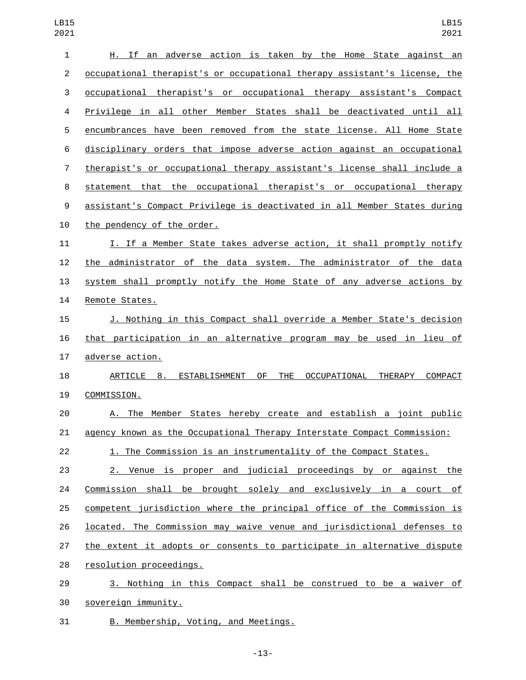| 1              | H. If an adverse action is taken by the Home State against an                             |
|----------------|-------------------------------------------------------------------------------------------|
| $\overline{2}$ | occupational therapist's or occupational therapy assistant's license, the                 |
| 3              | occupational therapist's or occupational therapy assistant's Compact                      |
| 4              | Privilege in all other Member States shall be deactivated until all                       |
| 5              | encumbrances have been removed from the state license. All Home State                     |
| 6              | disciplinary orders that impose adverse action against an occupational                    |
| $\overline{7}$ | therapist's or occupational therapy assistant's license shall include a                   |
| 8              | statement that the occupational therapist's or occupational therapy                       |
| 9              | assistant's Compact Privilege is deactivated in all Member States during                  |
| 10             | the pendency of the order.                                                                |
| 11             | I. If a Member State takes adverse action, it shall promptly notify                       |
| 12             | the administrator of the data system. The administrator of the data                       |
| 13             | system shall promptly notify the Home State of any adverse actions by                     |
| 14             | Remote States.                                                                            |
| 15             | J. Nothing in this Compact shall override a Member State's decision                       |
| 16             | that participation in an alternative program may be used in lieu of                       |
| 17             | adverse action.                                                                           |
| 18             | 0F<br><b>THE</b><br>ARTICLE 8. ESTABLISHMENT<br>OCCUPATIONAL<br>THERAPY<br><b>COMPACT</b> |
| 19             | COMMISSION.                                                                               |
|                |                                                                                           |
| 20             | A. The Member States hereby create and establish a joint public                           |
| 21             | agency known as the Occupational Therapy Interstate Compact Commission:                   |
| 22             | 1. The Commission is an instrumentality of the Compact States.                            |
| 23             | 2. Venue is proper and judicial proceedings by or against the                             |
| 24             | Commission shall be brought solely and exclusively in a court of                          |
| 25             | competent jurisdiction where the principal office of the Commission is                    |
| 26             | located. The Commission may waive venue and jurisdictional defenses to                    |
| 27             | the extent it adopts or consents to participate in alternative dispute                    |
| 28             | resolution proceedings.                                                                   |
| 29             | 3. Nothing in this Compact shall be construed to be a waiver of                           |

31 B. Membership, Voting, and Meetings.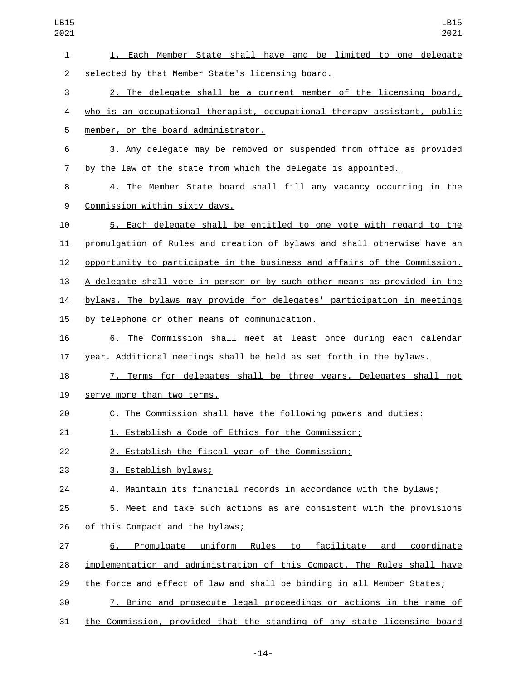| LB15<br>2021   | LB15<br>2021                                                              |
|----------------|---------------------------------------------------------------------------|
| 1              | 1. Each Member State shall have and be limited to one delegate            |
| $\overline{c}$ | selected by that Member State's licensing board.                          |
| 3              | 2. The delegate shall be a current member of the licensing board,         |
| 4              | who is an occupational therapist, occupational therapy assistant, public  |
| 5              | member, or the board administrator.                                       |
| 6              | 3. Any delegate may be removed or suspended from office as provided       |
| $\overline{7}$ | by the law of the state from which the delegate is appointed.             |
| 8              | 4. The Member State board shall fill any vacancy occurring in the         |
| 9              | Commission within sixty days.                                             |
| 10             | 5. Each delegate shall be entitled to one vote with regard to the         |
| 11             | promulgation of Rules and creation of bylaws and shall otherwise have an  |
| 12             | opportunity to participate in the business and affairs of the Commission. |
| 13             | A delegate shall vote in person or by such other means as provided in the |
| 14             | bylaws. The bylaws may provide for delegates' participation in meetings   |
| 15             | by telephone or other means of communication.                             |
| 16             | 6. The Commission shall meet at least once during each calendar           |
| 17             | year. Additional meetings shall be held as set forth in the bylaws.       |
| 18             | 7. Terms for delegates shall be three years. Delegates shall not          |
| 19             | serve more than two terms.                                                |
| 20             | C. The Commission shall have the following powers and duties:             |
| 21             | 1. Establish a Code of Ethics for the Commission;                         |
| 22             | 2. Establish the fiscal year of the Commission;                           |
| 23             | 3. Establish bylaws;                                                      |
| 24             | 4. Maintain its financial records in accordance with the bylaws;          |
| 25             | 5. Meet and take such actions as are consistent with the provisions       |
| 26             | of this Compact and the bylaws;                                           |
| 27             | 6. Promulgate uniform Rules to facilitate and<br>coordinate               |
| 28             | implementation and administration of this Compact. The Rules shall have   |
| 29             | the force and effect of law and shall be binding in all Member States;    |
| 30             | 7. Bring and prosecute legal proceedings or actions in the name of        |
| 31             | the Commission, provided that the standing of any state licensing board   |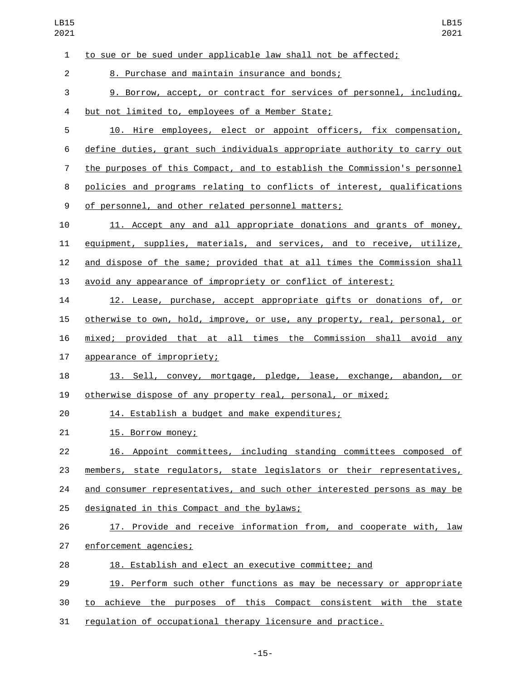| L<br>вT |  |
|---------|--|
| ر⊢ن     |  |

to sue or be sued under applicable law shall not be affected;

8. Purchase and maintain insurance and bonds;2

9. Borrow, accept, or contract for services of personnel, including,

4 but not limited to, employees of a Member State;

 10. Hire employees, elect or appoint officers, fix compensation, define duties, grant such individuals appropriate authority to carry out the purposes of this Compact, and to establish the Commission's personnel policies and programs relating to conflicts of interest, qualifications 9 of personnel, and other related personnel matters;

 11. Accept any and all appropriate donations and grants of money, equipment, supplies, materials, and services, and to receive, utilize, and dispose of the same; provided that at all times the Commission shall avoid any appearance of impropriety or conflict of interest;

 12. Lease, purchase, accept appropriate gifts or donations of, or otherwise to own, hold, improve, or use, any property, real, personal, or mixed; provided that at all times the Commission shall avoid any

17 appearance of impropriety;

 13. Sell, convey, mortgage, pledge, lease, exchange, abandon, or otherwise dispose of any property real, personal, or mixed;

14. Establish a budget and make expenditures;

21 15. Borrow money;

 16. Appoint committees, including standing committees composed of members, state regulators, state legislators or their representatives, 24 and consumer representatives, and such other interested persons as may be 25 designated in this Compact and the bylaws;

26 17. Provide and receive information from, and cooperate with, law

27 enforcement agencies;

18. Establish and elect an executive committee; and

19. Perform such other functions as may be necessary or appropriate

to achieve the purposes of this Compact consistent with the state

regulation of occupational therapy licensure and practice.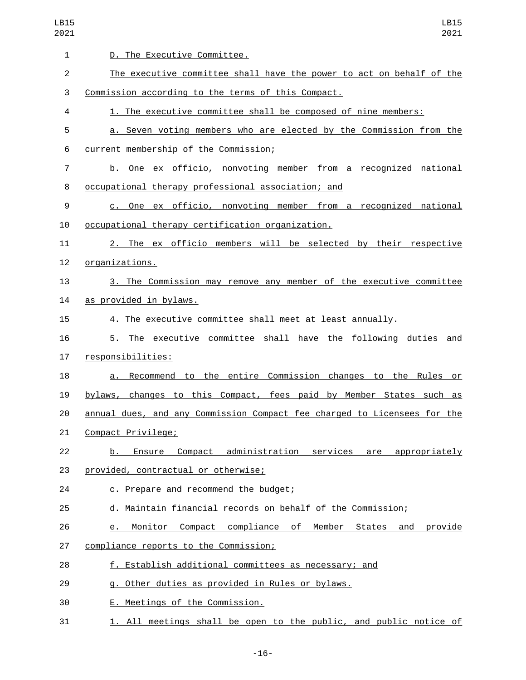| LB15<br>2021   | LB15<br>2021                                                             |
|----------------|--------------------------------------------------------------------------|
| $\mathbf{1}$   | D. The Executive Committee.                                              |
| $\overline{c}$ | The executive committee shall have the power to act on behalf of the     |
| 3              | Commission according to the terms of this Compact.                       |
| 4              | 1. The executive committee shall be composed of nine members:            |
| 5              | a. Seven voting members who are elected by the Commission from the       |
| 6              | current membership of the Commission;                                    |
| $\overline{7}$ | b. One ex officio, nonvoting member from a recognized national           |
| 8              | occupational therapy professional association; and                       |
| 9              | c. One ex officio, nonvoting member from a recognized national           |
| 10             | occupational therapy certification organization.                         |
| 11             | 2. The ex officio members will be selected by their respective           |
| 12             | <u>organizations.</u>                                                    |
| 13             | 3. The Commission may remove any member of the executive committee       |
| 14             | as provided in bylaws.                                                   |
| 15             | 4. The executive committee shall meet at least annually.                 |
| 16             | The executive committee shall have the following duties and<br>5.        |
| 17             | responsibilities:                                                        |
| 18             | a. Recommend to the entire Commission changes to the Rules<br>or         |
| 19             | bylaws, changes to this Compact, fees paid by Member States such as      |
| 20             | annual dues, and any Commission Compact fee charged to Licensees for the |
| 21             | Compact Privilege;                                                       |
| 22             | b. Ensure Compact administration services are appropriately              |
| 23             | provided, contractual or otherwise;                                      |
| 24             | c. Prepare and recommend the budget;                                     |
| 25             | d. Maintain financial records on behalf of the Commission;               |
| 26             | e. Monitor Compact compliance of Member States and provide               |
| 27             | compliance reports to the Commission;                                    |
| 28             | f. Establish additional committees as necessary; and                     |
| 29             | g. Other duties as provided in Rules or bylaws.                          |
| 30             | E. Meetings of the Commission.                                           |
| 31             | 1. All meetings shall be open to the public, and public notice of        |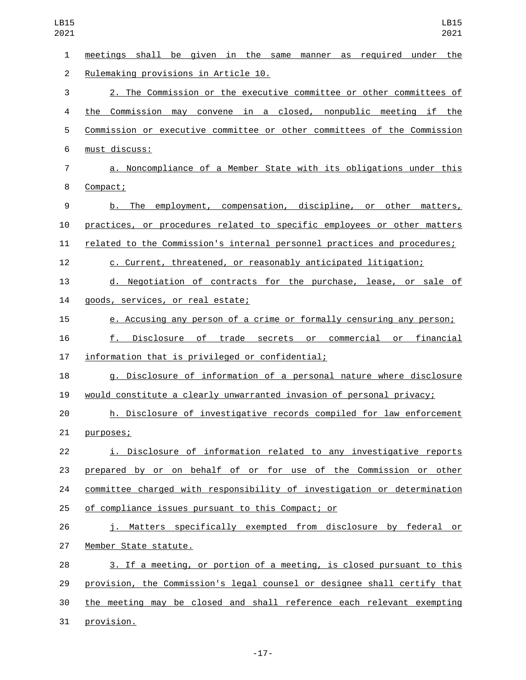| $\mathbf{1}$   | meetings shall be given in the same manner as required under the         |
|----------------|--------------------------------------------------------------------------|
| $\overline{2}$ | Rulemaking provisions in Article 10.                                     |
| 3              | 2. The Commission or the executive committee or other committees of      |
| 4              | the Commission may convene in a closed, nonpublic meeting if the         |
| 5              | Commission or executive committee or other committees of the Commission  |
| $6\phantom{1}$ | must discuss:                                                            |
| $\overline{7}$ | a. Noncompliance of a Member State with its obligations under this       |
| 8              | Compact;                                                                 |
| 9              | b. The employment, compensation, discipline, or other matters,           |
| 10             | practices, or procedures related to specific employees or other matters  |
| 11             | related to the Commission's internal personnel practices and procedures; |
| 12             | c. Current, threatened, or reasonably anticipated litigation;            |
| 13             | d. Negotiation of contracts for the purchase, lease, or sale of          |
| 14             | goods, services, or real estate;                                         |
| 15             | e. Accusing any person of a crime or formally censuring any person;      |
| 16             | Disclosure of trade secrets or commercial or financial<br>f.             |
| 17             | information that is privileged or confidential;                          |
| 18             | g. Disclosure of information of a personal nature where disclosure       |
| 19             | would constitute a clearly unwarranted invasion of personal privacy;     |
| 20             | h. Disclosure of investigative records compiled for law enforcement      |
| 21             | purposes;                                                                |
| 22             | i. Disclosure of information related to any investigative reports        |
| 23             | prepared by or on behalf of or for use of the Commission or other        |
| 24             | committee charged with responsibility of investigation or determination  |
| 25             | of compliance issues pursuant to this Compact; or                        |
| 26             | j. Matters specifically exempted from disclosure by federal or           |
| 27             | Member State statute.                                                    |
| 28             | 3. If a meeting, or portion of a meeting, is closed pursuant to this     |
| 29             | provision, the Commission's legal counsel or designee shall certify that |
| 30             | the meeting may be closed and shall reference each relevant exempting    |
| 31             | provision.                                                               |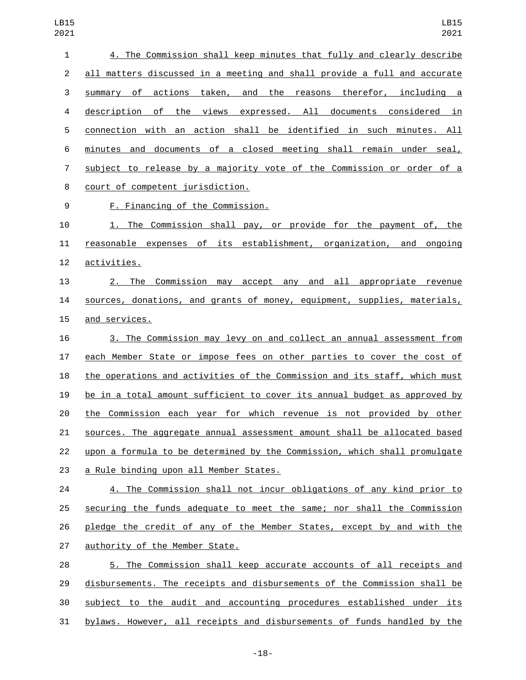| 1  | 4. The Commission shall keep minutes that fully and clearly describe      |
|----|---------------------------------------------------------------------------|
| 2  | all matters discussed in a meeting and shall provide a full and accurate  |
| 3  | summary of actions taken, and the reasons therefor, including a           |
| 4  | description of the views expressed. All documents considered in           |
| 5  | connection with an action shall be identified in such minutes. All        |
| 6  | minutes and documents of a closed meeting shall remain under seal,        |
| 7  | subject to release by a majority vote of the Commission or order of a     |
| 8  | court of competent jurisdiction.                                          |
| 9  | F. Financing of the Commission.                                           |
| 10 | 1. The Commission shall pay, or provide for the payment of, the           |
| 11 | reasonable expenses of its establishment, organization, and ongoing       |
| 12 | activities.                                                               |
| 13 | 2. The Commission may accept any and all appropriate revenue              |
| 14 | sources, donations, and grants of money, equipment, supplies, materials,  |
| 15 | and services.                                                             |
| 16 | 3. The Commission may levy on and collect an annual assessment from       |
| 17 | each Member State or impose fees on other parties to cover the cost of    |
| 18 | the operations and activities of the Commission and its staff, which must |
| 19 | be in a total amount sufficient to cover its annual budget as approved by |
| 20 | the Commission each year for which revenue is not provided by other       |
| 21 | sources. The aggregate annual assessment amount shall be allocated based  |
| 22 | upon a formula to be determined by the Commission, which shall promulgate |
| 23 | a Rule binding upon all Member States.                                    |
| 24 | 4. The Commission shall not incur obligations of any kind prior to        |
| 25 | securing the funds adequate to meet the same; nor shall the Commission    |
| 26 | pledge the credit of any of the Member States, except by and with the     |
| 27 | authority of the Member State.                                            |
| 28 | 5. The Commission shall keep accurate accounts of all receipts and        |
| 29 | disbursements. The receipts and disbursements of the Commission shall be  |
| 30 | subject to the audit and accounting procedures established under its      |

bylaws. However, all receipts and disbursements of funds handled by the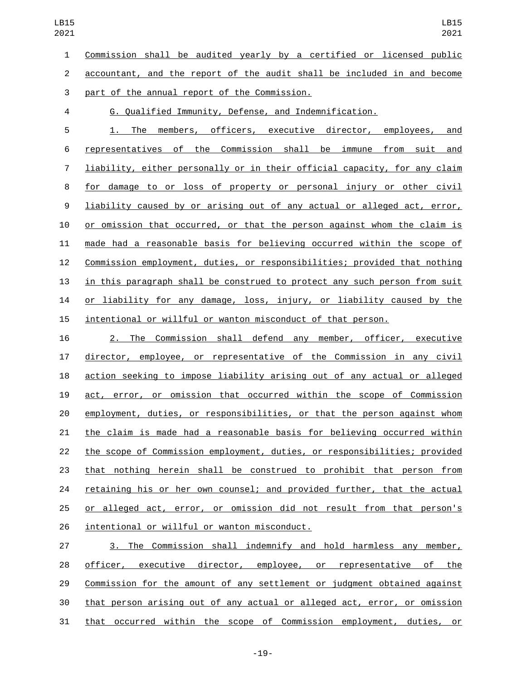Commission shall be audited yearly by a certified or licensed public accountant, and the report of the audit shall be included in and become

part of the annual report of the Commission.3

G. Qualified Immunity, Defense, and Indemnification.

 1. The members, officers, executive director, employees, and representatives of the Commission shall be immune from suit and liability, either personally or in their official capacity, for any claim for damage to or loss of property or personal injury or other civil liability caused by or arising out of any actual or alleged act, error, 10 or omission that occurred, or that the person against whom the claim is made had a reasonable basis for believing occurred within the scope of Commission employment, duties, or responsibilities; provided that nothing in this paragraph shall be construed to protect any such person from suit or liability for any damage, loss, injury, or liability caused by the intentional or willful or wanton misconduct of that person.

 2. The Commission shall defend any member, officer, executive director, employee, or representative of the Commission in any civil action seeking to impose liability arising out of any actual or alleged act, error, or omission that occurred within the scope of Commission employment, duties, or responsibilities, or that the person against whom the claim is made had a reasonable basis for believing occurred within the scope of Commission employment, duties, or responsibilities; provided that nothing herein shall be construed to prohibit that person from retaining his or her own counsel; and provided further, that the actual 25 or alleged act, error, or omission did not result from that person's 26 intentional or willful or wanton misconduct.

 3. The Commission shall indemnify and hold harmless any member, 28 officer, executive director, employee, or representative of the Commission for the amount of any settlement or judgment obtained against that person arising out of any actual or alleged act, error, or omission that occurred within the scope of Commission employment, duties, or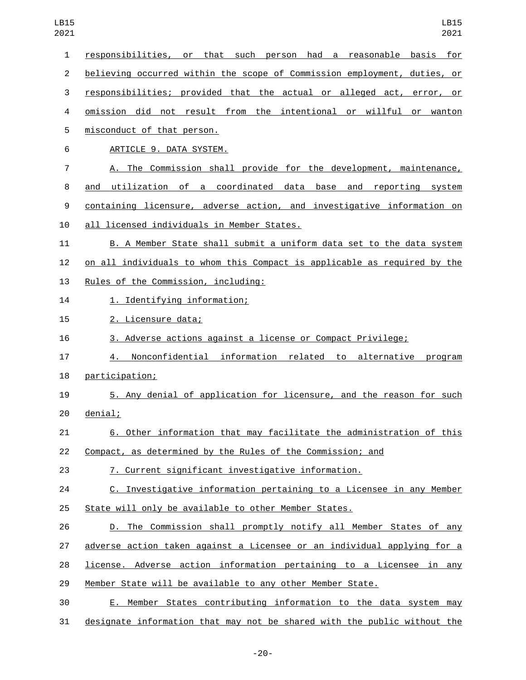| $\mathbf{1}$   | responsibilities, or that such person had a<br>basis for<br>reasonable   |
|----------------|--------------------------------------------------------------------------|
| $\overline{2}$ | believing occurred within the scope of Commission employment, duties, or |
| 3              | responsibilities; provided that the actual or alleged act, error, or     |
| 4              | omission did not result from the intentional or willful or wanton        |
| 5              | misconduct of that person.                                               |
| 6              | ARTICLE 9. DATA SYSTEM.                                                  |
| 7              | A. The Commission shall provide for the development, maintenance,        |
| 8              | utilization of a coordinated data base and reporting system<br>and       |
| 9              | containing licensure, adverse action, and investigative information on   |
| 10             | all licensed individuals in Member States.                               |
| 11             | B. A Member State shall submit a uniform data set to the data system     |
| 12             | on all individuals to whom this Compact is applicable as required by the |
| 13             | Rules of the Commission, including:                                      |
| 14             | 1. Identifying information;                                              |
| 15             | 2. Licensure data;                                                       |
| 16             | 3. Adverse actions against a license or Compact Privilege;               |
| 17             | Nonconfidential information related to alternative program<br>4.         |
| 18             | participation;                                                           |
| 19             | 5. Any denial of application for licensure, and the reason for such      |
| 20             | denial;                                                                  |
| 21             | 6. Other information that may facilitate the administration of this      |
| 22             | Compact, as determined by the Rules of the Commission; and               |
| 23             | 7. Current significant investigative information.                        |
| 24             | C. Investigative information pertaining to a Licensee in any Member      |
| 25             | State will only be available to other Member States.                     |
| 26             | D. The Commission shall promptly notify all Member States of any         |
| 27             | adverse action taken against a Licensee or an individual applying for a  |
| 28             | license. Adverse action information pertaining to a Licensee in any      |
| 29             | Member State will be available to any other Member State.                |
| 30             | Member States contributing information to the data system may<br>E.,     |
| 31             | designate information that may not be shared with the public without the |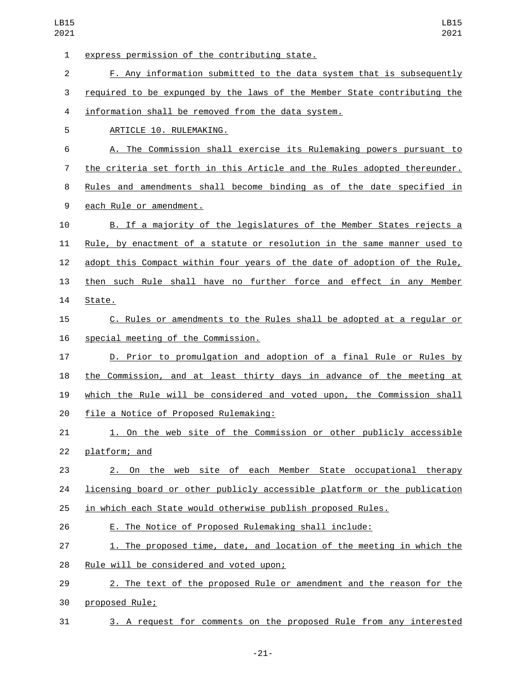| 1  | express permission of the contributing state.                                   |
|----|---------------------------------------------------------------------------------|
| 2  | F. Any information submitted to the data system that is subsequently            |
| 3  | required to be expunged by the laws of the Member State contributing the        |
| 4  | information shall be removed from the data system.                              |
| 5  | ARTICLE 10. RULEMAKING.                                                         |
| 6  | A. The Commission shall exercise its Rulemaking powers pursuant to              |
| 7  | the criteria set forth in this Article and the Rules adopted thereunder.        |
| 8  | Rules and amendments shall become binding as of the date specified in           |
| 9  | each Rule or amendment.                                                         |
| 10 | B. If a majority of the legislatures of the Member States rejects a             |
| 11 | <u>Rule, by enactment of a statute or resolution in the same manner used to</u> |
| 12 | adopt this Compact within four years of the date of adoption of the Rule,       |
| 13 | then such Rule shall have no further force and effect in any Member             |
| 14 | State.                                                                          |
| 15 | C. Rules or amendments to the Rules shall be adopted at a regular or            |
| 16 | special meeting of the Commission.                                              |
| 17 | D. Prior to promulgation and adoption of a final Rule or Rules by               |
| 18 | the Commission, and at least thirty days in advance of the meeting at           |
| 19 | which the Rule will be considered and voted upon, the Commission shall          |
| 20 | file a Notice of Proposed Rulemaking:                                           |
| 21 | 1. On the web site of the Commission or other publicly accessible               |
| 22 | platform; and                                                                   |
| 23 | 2. On the web site of each Member State occupational therapy                    |
| 24 | licensing board or other publicly accessible platform or the publication        |
| 25 | in which each State would otherwise publish proposed Rules.                     |
| 26 | E. The Notice of Proposed Rulemaking shall include:                             |
| 27 | 1. The proposed time, date, and location of the meeting in which the            |
| 28 | Rule will be considered and voted upon;                                         |
| 29 | 2. The text of the proposed Rule or amendment and the reason for the            |
| 30 | proposed Rule;                                                                  |
| 31 | 3. A request for comments on the proposed Rule from any interested              |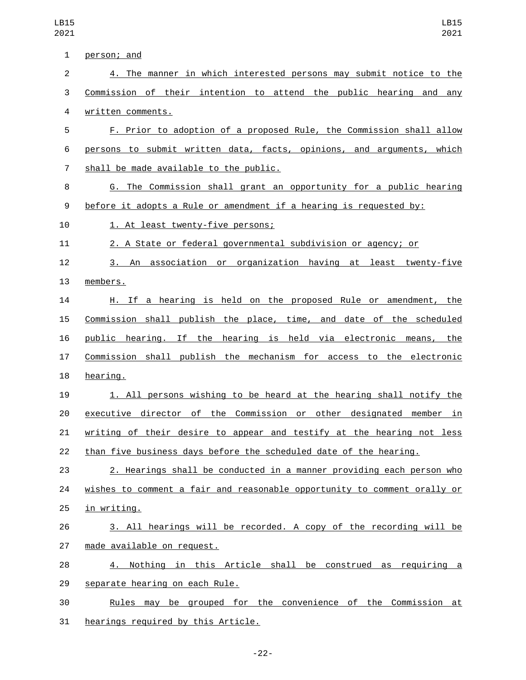| $\mathbf 1$    | person; and                                                              |
|----------------|--------------------------------------------------------------------------|
| $\overline{2}$ | 4. The manner in which interested persons may submit notice to the       |
| 3              | Commission of their intention to attend the public hearing and any       |
| $\overline{4}$ | written comments.                                                        |
| 5              | F. Prior to adoption of a proposed Rule, the Commission shall allow      |
| 6              | persons to submit written data, facts, opinions, and arguments, which    |
| 7              | shall be made available to the public.                                   |
| 8              | G. The Commission shall grant an opportunity for a public hearing        |
| 9              | before it adopts a Rule or amendment if a hearing is requested by:       |
| 10             | 1. At least twenty-five persons;                                         |
| 11             | 2. A State or federal governmental subdivision or agency; or             |
| 12             | 3. An association or organization having at least twenty-five            |
| 13             | members.                                                                 |
| 14             | H. If a hearing is held on the proposed Rule or amendment, the           |
| 15             | Commission shall publish the place, time, and date of the scheduled      |
| 16             | public hearing. If the hearing is held via electronic means, the         |
| 17             | Commission shall publish the mechanism for access to the electronic      |
| 18             | hearing.                                                                 |
| 19             | 1. All persons wishing to be heard at the hearing shall notify the       |
| 20             | executive director of the Commission or other designated member in       |
| 21             | writing of their desire to appear and testify at the hearing not less    |
| 22             | than five business days before the scheduled date of the hearing.        |
| 23             | 2. Hearings shall be conducted in a manner providing each person who     |
| 24             | wishes to comment a fair and reasonable opportunity to comment orally or |
| 25             | in writing.                                                              |
| 26             | 3. All hearings will be recorded. A copy of the recording will be        |
| 27             | made available on request.                                               |
| 28             | 4. Nothing in this Article shall be construed as requiring a             |
| 29             | separate hearing on each Rule.                                           |
| 30             | Rules may be grouped for the convenience of the Commission at            |
| 31             | hearings required by this Article.                                       |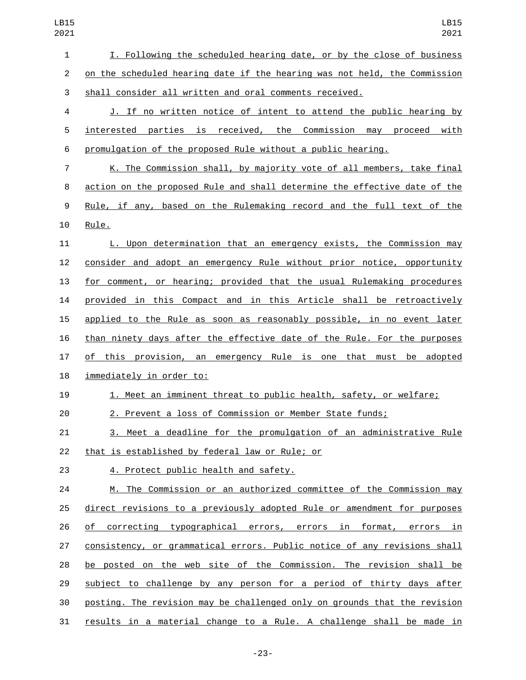I. Following the scheduled hearing date, or by the close of business on the scheduled hearing date if the hearing was not held, the Commission shall consider all written and oral comments received.

 J. If no written notice of intent to attend the public hearing by interested parties is received, the Commission may proceed with promulgation of the proposed Rule without a public hearing.

 K. The Commission shall, by majority vote of all members, take final action on the proposed Rule and shall determine the effective date of the Rule, if any, based on the Rulemaking record and the full text of the 10 Rule.

 L. Upon determination that an emergency exists, the Commission may consider and adopt an emergency Rule without prior notice, opportunity 13 for comment, or hearing; provided that the usual Rulemaking procedures provided in this Compact and in this Article shall be retroactively applied to the Rule as soon as reasonably possible, in no event later than ninety days after the effective date of the Rule. For the purposes 17 of this provision, an emergency Rule is one that must be adopted 18 immediately in order to:

## 1. Meet an imminent threat to public health, safety, or welfare;

2. Prevent a loss of Commission or Member State funds;

 3. Meet a deadline for the promulgation of an administrative Rule 22 that is established by federal law or Rule; or

23 4. Protect public health and safety.

 M. The Commission or an authorized committee of the Commission may direct revisions to a previously adopted Rule or amendment for purposes of correcting typographical errors, errors in format, errors in consistency, or grammatical errors. Public notice of any revisions shall be posted on the web site of the Commission. The revision shall be subject to challenge by any person for a period of thirty days after posting. The revision may be challenged only on grounds that the revision results in a material change to a Rule. A challenge shall be made in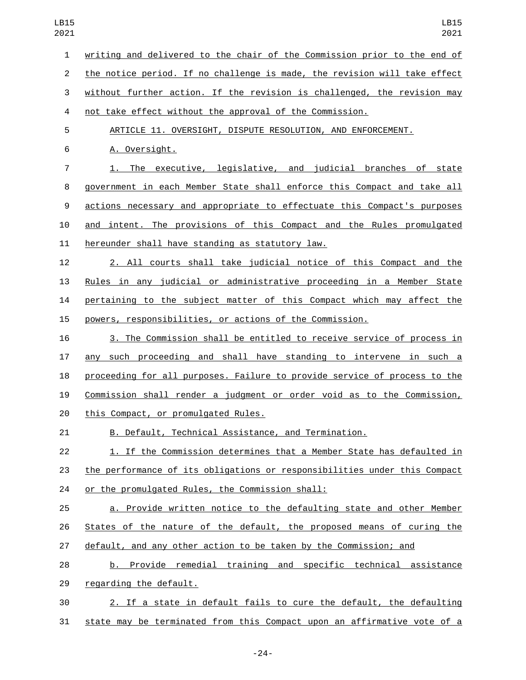writing and delivered to the chair of the Commission prior to the end of the notice period. If no challenge is made, the revision will take effect without further action. If the revision is challenged, the revision may not take effect without the approval of the Commission. ARTICLE 11. OVERSIGHT, DISPUTE RESOLUTION, AND ENFORCEMENT. 6 A. Oversight. 1. The executive, legislative, and judicial branches of state government in each Member State shall enforce this Compact and take all actions necessary and appropriate to effectuate this Compact's purposes and intent. The provisions of this Compact and the Rules promulgated 11 hereunder shall have standing as statutory law. 2. All courts shall take judicial notice of this Compact and the Rules in any judicial or administrative proceeding in a Member State pertaining to the subject matter of this Compact which may affect the powers, responsibilities, or actions of the Commission. 3. The Commission shall be entitled to receive service of process in any such proceeding and shall have standing to intervene in such a proceeding for all purposes. Failure to provide service of process to the Commission shall render a judgment or order void as to the Commission, 20 this Compact, or promulgated Rules. B. Default, Technical Assistance, and Termination. 1. If the Commission determines that a Member State has defaulted in the performance of its obligations or responsibilities under this Compact 24 or the promulgated Rules, the Commission shall: a. Provide written notice to the defaulting state and other Member States of the nature of the default, the proposed means of curing the default, and any other action to be taken by the Commission; and b. Provide remedial training and specific technical assistance 29 regarding the default. 2. If a state in default fails to cure the default, the defaulting state may be terminated from this Compact upon an affirmative vote of a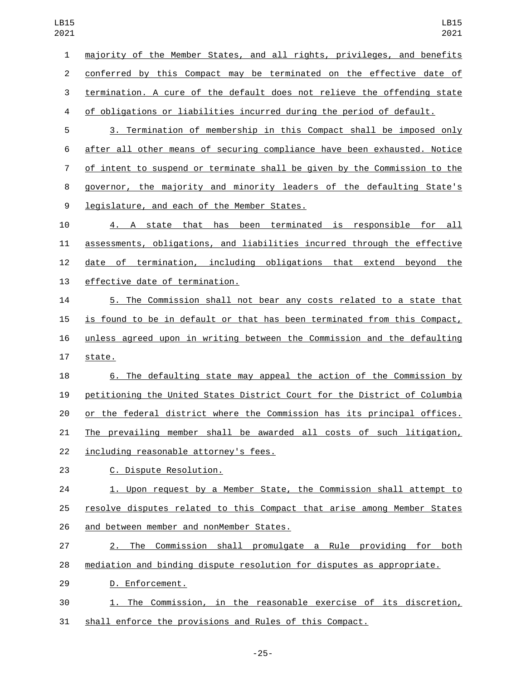| 1  | majority of the Member States, and all rights, privileges, and benefits   |
|----|---------------------------------------------------------------------------|
| 2  | conferred by this Compact may be terminated on the effective date of      |
| 3  | termination. A cure of the default does not relieve the offending state   |
| 4  | of obligations or liabilities incurred during the period of default.      |
| 5  | 3. Termination of membership in this Compact shall be imposed only        |
| 6  | after all other means of securing compliance have been exhausted. Notice  |
| 7  | of intent to suspend or terminate shall be given by the Commission to the |
| 8  | governor, the majority and minority leaders of the defaulting State's     |
| 9  | legislature, and each of the Member States.                               |
| 10 | 4. A state that has been terminated is responsible for all                |
| 11 | assessments, obligations, and liabilities incurred through the effective  |
| 12 | date of termination, including obligations that extend beyond the         |
| 13 | effective date of termination.                                            |
| 14 | 5. The Commission shall not bear any costs related to a state that        |
| 15 | is found to be in default or that has been terminated from this Compact,  |
| 16 | unless agreed upon in writing between the Commission and the defaulting   |
| 17 | state.                                                                    |
| 18 | 6. The defaulting state may appeal the action of the Commission by        |
| 19 | petitioning the United States District Court for the District of Columbia |
| 20 | or the federal district where the Commission has its principal offices.   |
| 21 | The prevailing member shall be awarded all costs of such litigation,      |
| 22 | including reasonable attorney's fees.                                     |
| 23 | C. Dispute Resolution.                                                    |
| 24 | 1. Upon request by a Member State, the Commission shall attempt to        |
| 25 | resolve disputes related to this Compact that arise among Member States   |
| 26 | and between member and nonMember States.                                  |
| 27 | 2. The Commission shall promulgate a Rule providing for both              |
| 28 | mediation and binding dispute resolution for disputes as appropriate.     |
| 29 | D. Enforcement.                                                           |
| 30 | 1. The Commission, in the reasonable exercise of its discretion,          |
| 31 | shall enforce the provisions and Rules of this Compact.                   |
|    |                                                                           |

-25-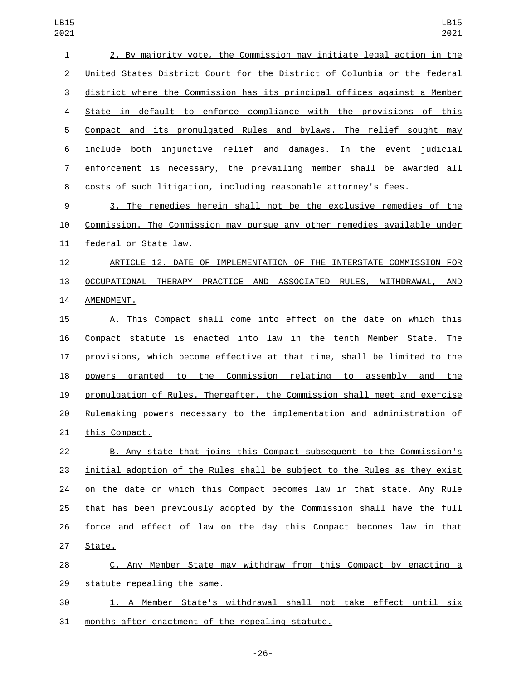| $\mathbf{1}$   | 2. By majority vote, the Commission may initiate legal action in the      |
|----------------|---------------------------------------------------------------------------|
| $\overline{c}$ | United States District Court for the District of Columbia or the federal  |
| $\sqrt{3}$     | district where the Commission has its principal offices against a Member  |
| 4              | State in default to enforce compliance with the provisions of this        |
| 5              | Compact and its promulgated Rules and bylaws. The relief sought may       |
| 6              | include both injunctive relief and damages. In the event judicial         |
| $\overline{7}$ | enforcement is necessary, the prevailing member shall be awarded all      |
| 8              | costs of such litigation, including reasonable attorney's fees.           |
| 9              | 3. The remedies herein shall not be the exclusive remedies of the         |
| 10             | Commission. The Commission may pursue any other remedies available under  |
| 11             | federal or State law.                                                     |
| 12             | ARTICLE 12. DATE OF IMPLEMENTATION OF THE INTERSTATE COMMISSION FOR       |
| 13             | OCCUPATIONAL THERAPY PRACTICE AND ASSOCIATED RULES, WITHDRAWAL, AND       |
| 14             | AMENDMENT.                                                                |
| 15             | A. This Compact shall come into effect on the date on which this          |
| 16             | Compact statute is enacted into law in the tenth Member State. The        |
| 17             | provisions, which become effective at that time, shall be limited to the  |
| 18             | granted to the Commission relating to assembly and the<br>powers          |
| 19             | promulgation of Rules. Thereafter, the Commission shall meet and exercise |
| 20             | Rulemaking powers necessary to the implementation and administration of   |
| 21             | this Compact.                                                             |
| 22             | B. Any state that joins this Compact subsequent to the Commission's       |
| 23             | initial adoption of the Rules shall be subject to the Rules as they exist |
| 24             | on the date on which this Compact becomes law in that state. Any Rule     |
| 25             | that has been previously adopted by the Commission shall have the full    |
| 26             | force and effect of law on the day this Compact becomes law in that       |
| 27             | State.                                                                    |
| 28             | C. Any Member State may withdraw from this Compact by enacting a          |
| 29             | statute repealing the same.                                               |
| 30             | 1. A Member State's withdrawal shall not take effect until six            |
| 31             | months after enactment of the repealing statute.                          |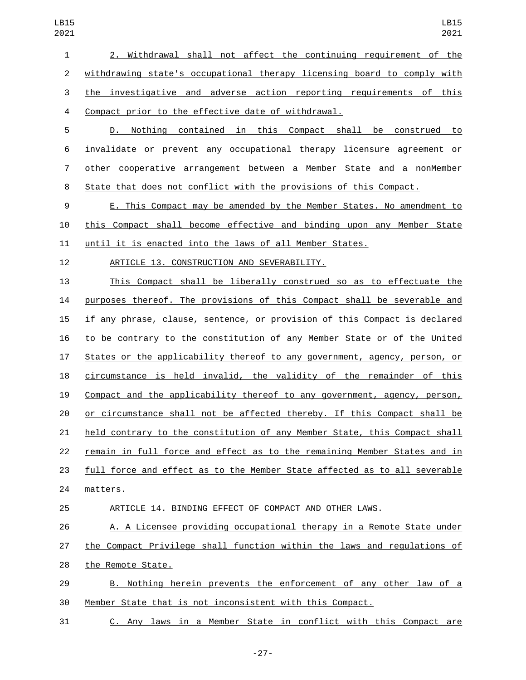2. Withdrawal shall not affect the continuing requirement of the withdrawing state's occupational therapy licensing board to comply with the investigative and adverse action reporting requirements of this 4 Compact prior to the effective date of withdrawal.

 D. Nothing contained in this Compact shall be construed to invalidate or prevent any occupational therapy licensure agreement or other cooperative arrangement between a Member State and a nonMember State that does not conflict with the provisions of this Compact.

 E. This Compact may be amended by the Member States. No amendment to this Compact shall become effective and binding upon any Member State until it is enacted into the laws of all Member States.

12 ARTICLE 13. CONSTRUCTION AND SEVERABILITY.

 This Compact shall be liberally construed so as to effectuate the purposes thereof. The provisions of this Compact shall be severable and if any phrase, clause, sentence, or provision of this Compact is declared to be contrary to the constitution of any Member State or of the United States or the applicability thereof to any government, agency, person, or circumstance is held invalid, the validity of the remainder of this Compact and the applicability thereof to any government, agency, person, or circumstance shall not be affected thereby. If this Compact shall be held contrary to the constitution of any Member State, this Compact shall remain in full force and effect as to the remaining Member States and in full force and effect as to the Member State affected as to all severable 24 matters.

25 ARTICLE 14. BINDING EFFECT OF COMPACT AND OTHER LAWS.

 A. A Licensee providing occupational therapy in a Remote State under the Compact Privilege shall function within the laws and regulations of 28 the Remote State.

29 B. Nothing herein prevents the enforcement of any other law of a Member State that is not inconsistent with this Compact.

C. Any laws in a Member State in conflict with this Compact are